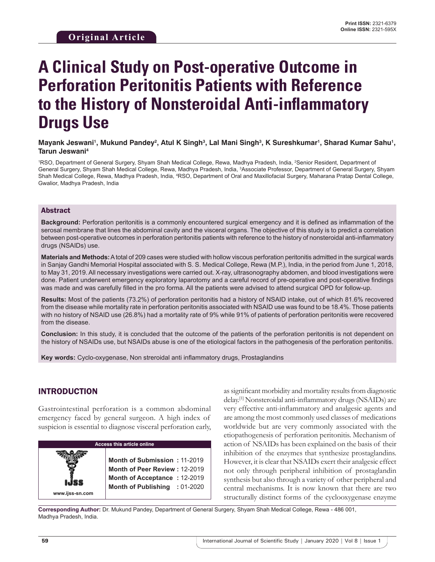# **A Clinical Study on Post-operative Outcome in Perforation Peritonitis Patients with Reference to the History of Nonsteroidal Anti-inflammatory Drugs Use**

#### Mayank Jeswani', Mukund Pandey<sup>2</sup>, Atul K Singh<sup>3</sup>, Lal Mani Singh<sup>3</sup>, K Sureshkumar', Sharad Kumar Sahu', **Tarun Jeswani4**

1 RSO, Department of General Surgery, Shyam Shah Medical College, Rewa, Madhya Pradesh, India, 2 Senior Resident, Department of General Surgery, Shyam Shah Medical College, Rewa, Madhya Pradesh, India, <sup>3</sup>Associate Professor, Department of General Surgery, Shyam Shah Medical College, Rewa, Madhya Pradesh, India, <sup>4</sup>RSO, Department of Oral and Maxillofacial Surgery, Maharana Pratap Dental College, Gwalior, Madhya Pradesh, India

# Abstract

**Background:** Perforation peritonitis is a commonly encountered surgical emergency and it is defined as inflammation of the serosal membrane that lines the abdominal cavity and the visceral organs. The objective of this study is to predict a correlation between post-operative outcomes in perforation peritonitis patients with reference to the history of nonsteroidal anti-inflammatory drugs (NSAIDs) use.

**Materials and Methods:** A total of 209 cases were studied with hollow viscous perforation peritonitis admitted in the surgical wards in Sanjay Gandhi Memorial Hospital associated with S. S. Medical College, Rewa (M.P.), India, in the period from June 1, 2018, to May 31, 2019. All necessary investigations were carried out. X-ray, ultrasonography abdomen, and blood investigations were done. Patient underwent emergency exploratory laparotomy and a careful record of pre-operative and post-operative findings was made and was carefully filled in the pro forma. All the patients were advised to attend surgical OPD for follow-up.

**Results:** Most of the patients (73.2%) of perforation peritonitis had a history of NSAID intake, out of which 81.6% recovered from the disease while mortality rate in perforation peritonitis associated with NSAID use was found to be 18.4%. Those patients with no history of NSAID use (26.8%) had a mortality rate of 9% while 91% of patients of perforation peritonitis were recovered from the disease.

**Conclusion:** In this study, it is concluded that the outcome of the patients of the perforation peritonitis is not dependent on the history of NSAIDs use, but NSAIDs abuse is one of the etiological factors in the pathogenesis of the perforation peritonitis.

**Key words:** Cyclo-oxygenase, Non streroidal anti inflammatory drugs, Prostaglandins

# INTRODUCTION

Gastrointestinal perforation is a common abdominal emergency faced by general surgeon. A high index of suspicion is essential to diagnose visceral perforation early,

| <b>Access this article online</b> |                                                                                                                                |  |  |  |  |
|-----------------------------------|--------------------------------------------------------------------------------------------------------------------------------|--|--|--|--|
| www.ijss-sn.com                   | Month of Submission: 11-2019<br>Month of Peer Review: 12-2019<br>Month of Acceptance: 12-2019<br>Month of Publishing : 01-2020 |  |  |  |  |

as significant morbidity and mortality results from diagnostic delay.[1] Nonsteroidal anti-inflammatory drugs (NSAIDs) are very effective anti-inflammatory and analgesic agents and are among the most commonly used classes of medications worldwide but are very commonly associated with the etiopathogenesis of perforation peritonitis. Mechanism of action of NSAIDs has been explained on the basis of their inhibition of the enzymes that synthesize prostaglandins. However, it is clear that NSAIDs exert their analgesic effect not only through peripheral inhibition of prostaglandin synthesis but also through a variety of other peripheral and central mechanisms. It is now known that there are two structurally distinct forms of the cyclooxygenase enzyme

**Corresponding Author:** Dr. Mukund Pandey, Department of General Surgery, Shyam Shah Medical College, Rewa - 486 001, Madhya Pradesh, India.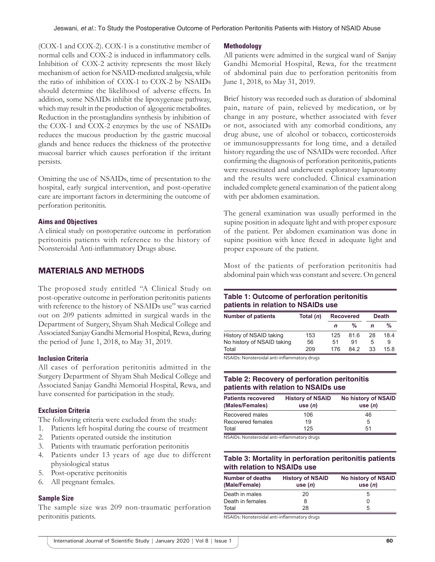(COX-1 and COX-2). COX-1 is a constitutive member of normal cells and COX-2 is induced in inflammatory cells. Inhibition of COX-2 activity represents the most likely mechanism of action for NSAID-mediated analgesia, while the ratio of inhibition of COX-1 to COX-2 by NSAIDs should determine the likelihood of adverse effects. In addition, some NSAIDs inhibit the lipoxygenase pathway, which may result in the production of algogenic metabolites. Reduction in the prostaglandins synthesis by inhibition of the COX-1 and COX-2 enzymes by the use of NSAIDs reduces the mucous production by the gastric mucosal glands and hence reduces the thickness of the protective mucosal barrier which causes perforation if the irritant persists.

Omitting the use of NSAIDs, time of presentation to the hospital, early surgical intervention, and post-operative care are important factors in determining the outcome of perforation peritonitis.

#### **Aims and Objectives**

A clinical study on postoperative outcome in perforation peritonitis patients with reference to the history of Nonsteroidal Anti-inflammatory Drugs abuse.

# MATERIALS AND METHODS

The proposed study entitled "A Clinical Study on post-operative outcome in perforation peritonitis patients with reference to the history of NSAIDs use" was carried out on 209 patients admitted in surgical wards in the Department of Surgery, Shyam Shah Medical College and Associated Sanjay Gandhi Memorial Hospital, Rewa, during the period of June 1, 2018, to May 31, 2019.

#### **Inclusion Criteria**

All cases of perforation peritonitis admitted in the Surgery Department of Shyam Shah Medical College and Associated Sanjay Gandhi Memorial Hospital, Rewa, and have consented for participation in the study.

## **Exclusion Criteria**

The following criteria were excluded from the study:

- 1. Patients left hospital during the course of treatment
- 2. Patients operated outside the institution
- 3. Patients with traumatic perforation peritonitis
- 4. Patients under 13 years of age due to different physiological status
- 5. Post-operative peritonitis
- 6. All pregnant females.

#### **Sample Size**

The sample size was 209 non-traumatic perforation peritonitis patients.

#### **Methodology**

All patients were admitted in the surgical ward of Sanjay Gandhi Memorial Hospital, Rewa, for the treatment of abdominal pain due to perforation peritonitis from June 1, 2018, to May 31, 2019.

Brief history was recorded such as duration of abdominal pain, nature of pain, relieved by medication, or by change in any posture, whether associated with fever or not, associated with any comorbid conditions, any drug abuse, use of alcohol or tobacco, corticosteroids or immunosuppressants for long time, and a detailed history regarding the use of NSAIDs were recorded. After confirming the diagnosis of perforation peritonitis, patients were resuscitated and underwent exploratory laparotomy and the results were concluded. Clinical examination included complete general examination of the patient along with per abdomen examination.

The general examination was usually performed in the supine position in adequate light and with proper exposure of the patient. Per abdomen examination was done in supine position with knee flexed in adequate light and proper exposure of the patient.

Most of the patients of perforation peritonitis had abdominal pain which was constant and severe. On general

# **Table 1: Outcome of perforation peritonitis patients in relation to NSAIDs use**

| <b>Number of patients</b>  | Total $(n)$ | <b>Recovered</b> |      | <b>Death</b> |     |
|----------------------------|-------------|------------------|------|--------------|-----|
|                            |             | n                | %    | n            | %   |
| History of NSAID taking    | 153         | 125              | 816  | 28           | 184 |
| No history of NSAID taking | 56          | 51               | 91   | 5            | 9   |
| Total                      | 209         | 176              | 84.2 | 33           | 158 |

NSAIDs: Nonsteroidal anti-inflammatory drugs

## **Table 2: Recovery of perforation peritonitis patients with relation to NSAIDs use**

| <b>Patients recovered</b><br>(Males/Females) | <b>History of NSAID</b><br>use $(n)$ | <b>No history of NSAID</b><br>use $(n)$ |
|----------------------------------------------|--------------------------------------|-----------------------------------------|
| Recovered males                              | 106                                  | 46                                      |
| Recovered females                            | 19                                   | 5                                       |
| Total                                        | 125                                  | 51                                      |

NSAIDs: Nonsteroidal anti-inflammatory drugs

## **Table 3: Mortality in perforation peritonitis patients with relation to NSAIDs use**

| <b>Number of deaths</b><br>(Male/Female) | <b>History of NSAID</b><br>use $(n)$ | <b>No history of NSAID</b><br>use $(n)$ |
|------------------------------------------|--------------------------------------|-----------------------------------------|
| Death in males                           | 20                                   | 5                                       |
| Death in females                         | 8                                    | 0                                       |
| Total                                    | 28                                   | 5                                       |

NSAIDs: Nonsteroidal anti-inflammatory drugs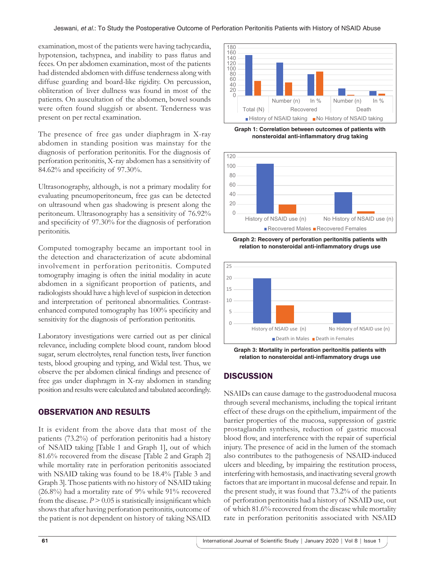examination, most of the patients were having tachycardia, hypotension, tachypnea, and inability to pass flatus and feces. On per abdomen examination, most of the patients had distended abdomen with diffuse tenderness along with diffuse guarding and board-like rigidity. On percussion, obliteration of liver dullness was found in most of the patients. On auscultation of the abdomen, bowel sounds were often found sluggish or absent. Tenderness was present on per rectal examination.

The presence of free gas under diaphragm in X-ray abdomen in standing position was mainstay for the diagnosis of perforation peritonitis. For the diagnosis of perforation peritonitis, X-ray abdomen has a sensitivity of 84.62% and specificity of 97.30%.

Ultrasonography, although, is not a primary modality for evaluating pneumoperitoneum, free gas can be detected on ultrasound when gas shadowing is present along the peritoneum. Ultrasonography has a sensitivity of 76.92% and specificity of 97.30% for the diagnosis of perforation peritonitis.

Computed tomography became an important tool in the detection and characterization of acute abdominal involvement in perforation peritonitis. Computed tomography imaging is often the initial modality in acute abdomen in a significant proportion of patients, and radiologists should have a high level of suspicion in detection and interpretation of peritoneal abnormalities. Contrastenhanced computed tomography has 100% specificity and sensitivity for the diagnosis of perforation peritonitis.

Laboratory investigations were carried out as per clinical relevance, including complete blood count, random blood sugar, serum electrolytes, renal function tests, liver function tests, blood grouping and typing, and Widal test. Thus, we observe the per abdomen clinical findings and presence of free gas under diaphragm in X-ray abdomen in standing position and results were calculated and tabulated accordingly.

# OBSERVATION AND RESULTS

It is evident from the above data that most of the patients (73.2%) of perforation peritonitis had a history of NSAID taking [Table 1 and Graph 1], out of which 81.6% recovered from the disease [Table 2 and Graph 2] while mortality rate in perforation peritonitis associated with NSAID taking was found to be 18.4% [Table 3 and Graph 3]. Those patients with no history of NSAID taking (26.8%) had a mortality rate of 9% while 91% recovered from the disease.  $P > 0.05$  is statistically insignificant which shows that after having perforation peritonitis, outcome of the patient is not dependent on history of taking NSAID.



**Graph 1: Correlation between outcomes of patients with nonsteroidal anti-inflammatory drug taking**



**Graph 2: Recovery of perforation peritonitis patients with relation to nonsteroidal anti-inflammatory drugs use**



**Graph 3: Mortality in perforation peritonitis patients with relation to nonsteroidal anti-inflammatory drugs use**

# **DISCUSSION**

NSAIDs can cause damage to the gastroduodenal mucosa through several mechanisms, including the topical irritant effect of these drugs on the epithelium, impairment of the barrier properties of the mucosa, suppression of gastric prostaglandin synthesis, reduction of gastric mucosal blood flow, and interference with the repair of superficial injury. The presence of acid in the lumen of the stomach also contributes to the pathogenesis of NSAID-induced ulcers and bleeding, by impairing the restitution process, interfering with hemostasis, and inactivating several growth factors that are important in mucosal defense and repair. In the present study, it was found that 73.2% of the patients of perforation peritonitis had a history of NSAID use, out of which 81.6% recovered from the disease while mortality rate in perforation peritonitis associated with NSAID